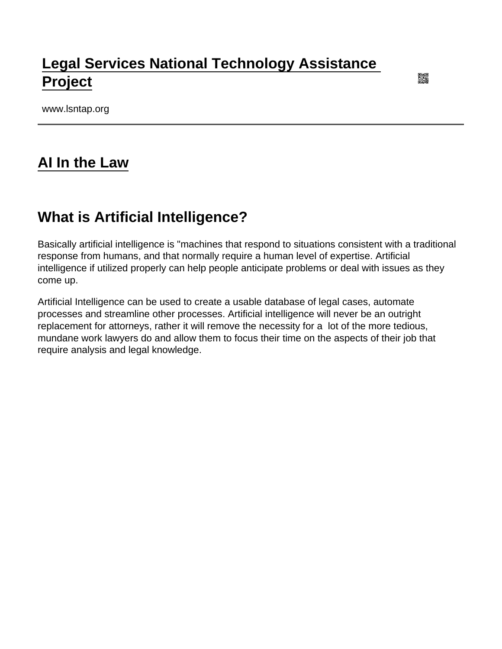### [Legal Services National Technology Assistance](https://www.lsntap.org/)  [Project](https://www.lsntap.org/)

www.lsntap.org

#### [AI In the Law](https://www.lsntap.org/node/201/ai-law)

#### What is Artificial Intelligence?

Basically artificial intelligence is "machines that respond to situations consistent with a traditional response from humans, and that normally require a human level of expertise. Artificial intelligence if utilized properly can help people anticipate problems or deal with issues as they come up.

Artificial Intelligence can be used to create a usable database of legal cases, automate processes and streamline other processes. Artificial intelligence will never be an outright replacement for attorneys, rather it will remove the necessity for a lot of the more tedious, mundane work lawyers do and allow them to focus their time on the aspects of their job that require analysis and legal knowledge.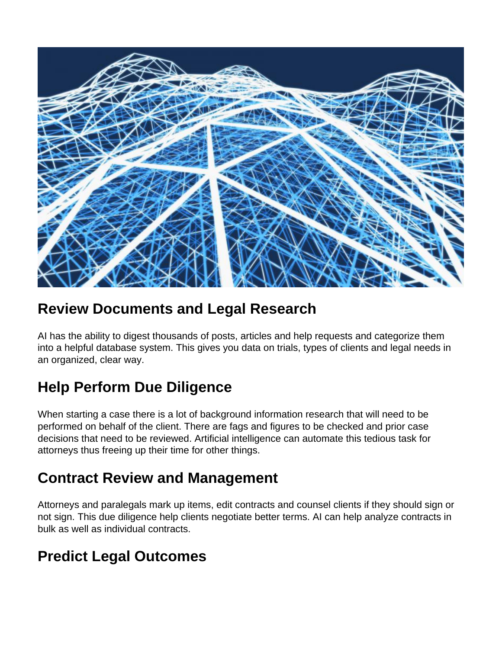

### **Review Documents and Legal Research**

AI has the ability to digest thousands of posts, articles and help requests and categorize them into a helpful database system. This gives you data on trials, types of clients and legal needs in an organized, clear way.

# **Help Perform Due Diligence**

When starting a case there is a lot of background information research that will need to be performed on behalf of the client. There are fags and figures to be checked and prior case decisions that need to be reviewed. Artificial intelligence can automate this tedious task for attorneys thus freeing up their time for other things.

## **Contract Review and Management**

Attorneys and paralegals mark up items, edit contracts and counsel clients if they should sign or not sign. This due diligence help clients negotiate better terms. AI can help analyze contracts in bulk as well as individual contracts.

#### **Predict Legal Outcomes**